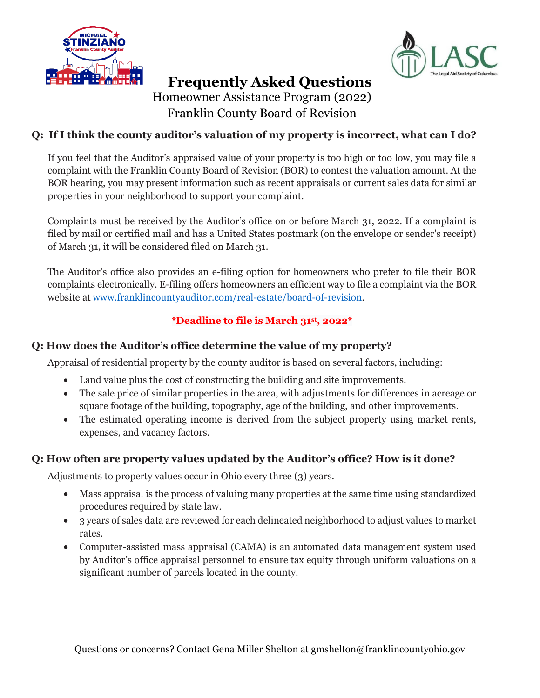



# **Frequently Asked Questions** Homeowner Assistance Program (2022)

Franklin County Board of Revision

## **Q: If I think the county auditor's valuation of my property is incorrect, what can I do?**

If you feel that the Auditor's appraised value of your property is too high or too low, you may file a complaint with the Franklin County Board of Revision (BOR) to contest the valuation amount. At the BOR hearing, you may present information such as recent appraisals or current sales data for similar properties in your neighborhood to support your complaint.

Complaints must be received by the Auditor's office on or before March 31, 2022. If a complaint is filed by mail or certified mail and has a United States postmark (on the envelope or sender's receipt) of March 31, it will be considered filed on March 31.

The Auditor's office also provides an e-filing option for homeowners who prefer to file their BOR complaints electronically. E-filing offers homeowners an efficient way to file a complaint via the BOR website at [www.franklincountyauditor.com/real-estate/board-of-revision.](http://www.franklincountyauditor.com/real-estate/board-of-revision)

## **\*Deadline to file is March 31st, 2022\***

## **Q: How does the Auditor's office determine the value of my property?**

Appraisal of residential property by the county auditor is based on several factors, including:

- Land value plus the cost of constructing the building and site improvements.
- The sale price of similar properties in the area, with adjustments for differences in acreage or square footage of the building, topography, age of the building, and other improvements.
- The estimated operating income is derived from the subject property using market rents, expenses, and vacancy factors.

### **Q: How often are property values updated by the Auditor's office? How is it done?**

Adjustments to property values occur in Ohio every three (3) years.

- Mass appraisal is the process of valuing many properties at the same time using standardized procedures required by state law.
- 3 years of sales data are reviewed for each delineated neighborhood to adjust values to market rates.
- Computer-assisted mass appraisal (CAMA) is an automated data management system used by Auditor's office appraisal personnel to ensure tax equity through uniform valuations on a significant number of parcels located in the county.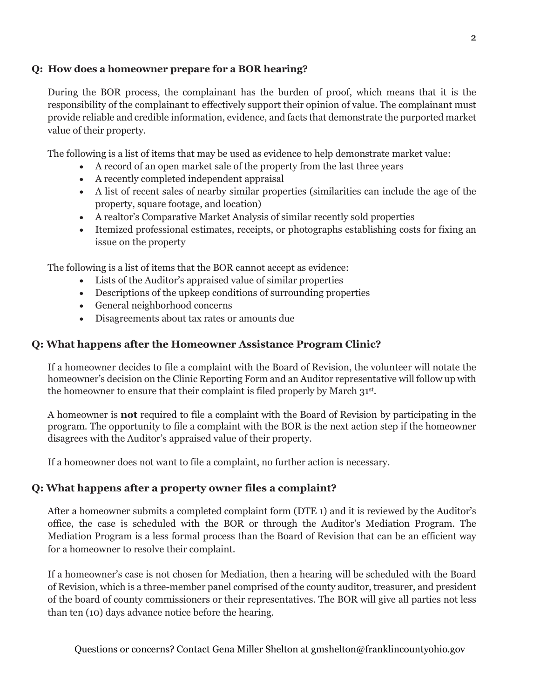#### **Q: How does a homeowner prepare for a BOR hearing?**

During the BOR process, the complainant has the burden of proof, which means that it is the responsibility of the complainant to effectively support their opinion of value. The complainant must provide reliable and credible information, evidence, and facts that demonstrate the purported market value of their property.

The following is a list of items that may be used as evidence to help demonstrate market value:

- A record of an open market sale of the property from the last three years
- A recently completed independent appraisal
- A list of recent sales of nearby similar properties (similarities can include the age of the property, square footage, and location)
- A realtor's Comparative Market Analysis of similar recently sold properties
- Itemized professional estimates, receipts, or photographs establishing costs for fixing an issue on the property

The following is a list of items that the BOR cannot accept as evidence:

- Lists of the Auditor's appraised value of similar properties
- Descriptions of the upkeep conditions of surrounding properties
- General neighborhood concerns
- Disagreements about tax rates or amounts due

### **Q: What happens after the Homeowner Assistance Program Clinic?**

If a homeowner decides to file a complaint with the Board of Revision, the volunteer will notate the homeowner's decision on the Clinic Reporting Form and an Auditor representative will follow up with the homeowner to ensure that their complaint is filed properly by March 31st.

A homeowner is **not** required to file a complaint with the Board of Revision by participating in the program. The opportunity to file a complaint with the BOR is the next action step if the homeowner disagrees with the Auditor's appraised value of their property.

If a homeowner does not want to file a complaint, no further action is necessary.

### **Q: What happens after a property owner files a complaint?**

After a homeowner submits a completed complaint form (DTE 1) and it is reviewed by the Auditor's office, the case is scheduled with the BOR or through the Auditor's Mediation Program. The Mediation Program is a less formal process than the Board of Revision that can be an efficient way for a homeowner to resolve their complaint.

If a homeowner's case is not chosen for Mediation, then a hearing will be scheduled with the Board of Revision, which is a three-member panel comprised of the county auditor, treasurer, and president of the board of county commissioners or their representatives. The BOR will give all parties not less than ten (10) days advance notice before the hearing.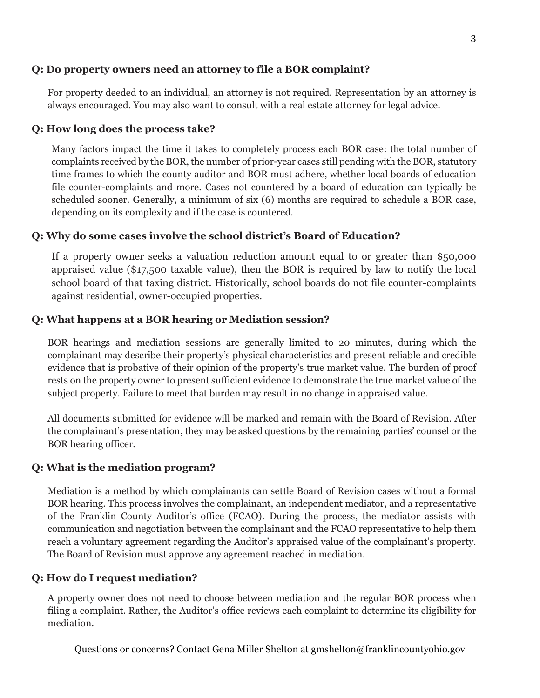#### **Q: Do property owners need an attorney to file a BOR complaint?**

For property deeded to an individual, an attorney is not required. Representation by an attorney is always encouraged. You may also want to consult with a real estate attorney for legal advice.

#### **Q: How long does the process take?**

Many factors impact the time it takes to completely process each BOR case: the total number of complaints received by the BOR, the number of prior-year cases still pending with the BOR, statutory time frames to which the county auditor and BOR must adhere, whether local boards of education file counter-complaints and more. Cases not countered by a board of education can typically be scheduled sooner. Generally, a minimum of six (6) months are required to schedule a BOR case, depending on its complexity and if the case is countered.

#### **Q: Why do some cases involve the school district's Board of Education?**

If a property owner seeks a valuation reduction amount equal to or greater than \$50,000 appraised value (\$17,500 taxable value), then the BOR is required by law to notify the local school board of that taxing district. Historically, school boards do not file counter-complaints against residential, owner-occupied properties.

#### **Q: What happens at a BOR hearing or Mediation session?**

BOR hearings and mediation sessions are generally limited to 20 minutes, during which the complainant may describe their property's physical characteristics and present reliable and credible evidence that is probative of their opinion of the property's true market value. The burden of proof rests on the property owner to present sufficient evidence to demonstrate the true market value of the subject property. Failure to meet that burden may result in no change in appraised value.

All documents submitted for evidence will be marked and remain with the Board of Revision. After the complainant's presentation, they may be asked questions by the remaining parties' counsel or the BOR hearing officer.

#### **Q: What is the mediation program?**

Mediation is a method by which complainants can settle Board of Revision cases without a formal BOR hearing. This process involves the complainant, an independent mediator, and a representative of the Franklin County Auditor's office (FCAO). During the process, the mediator assists with communication and negotiation between the complainant and the FCAO representative to help them reach a voluntary agreement regarding the Auditor's appraised value of the complainant's property. The Board of Revision must approve any agreement reached in mediation.

#### **Q: How do I request mediation?**

A property owner does not need to choose between mediation and the regular BOR process when filing a complaint. Rather, the Auditor's office reviews each complaint to determine its eligibility for mediation.

Questions or concerns? Contact Gena Miller Shelton at gmshelton@franklincountyohio.gov